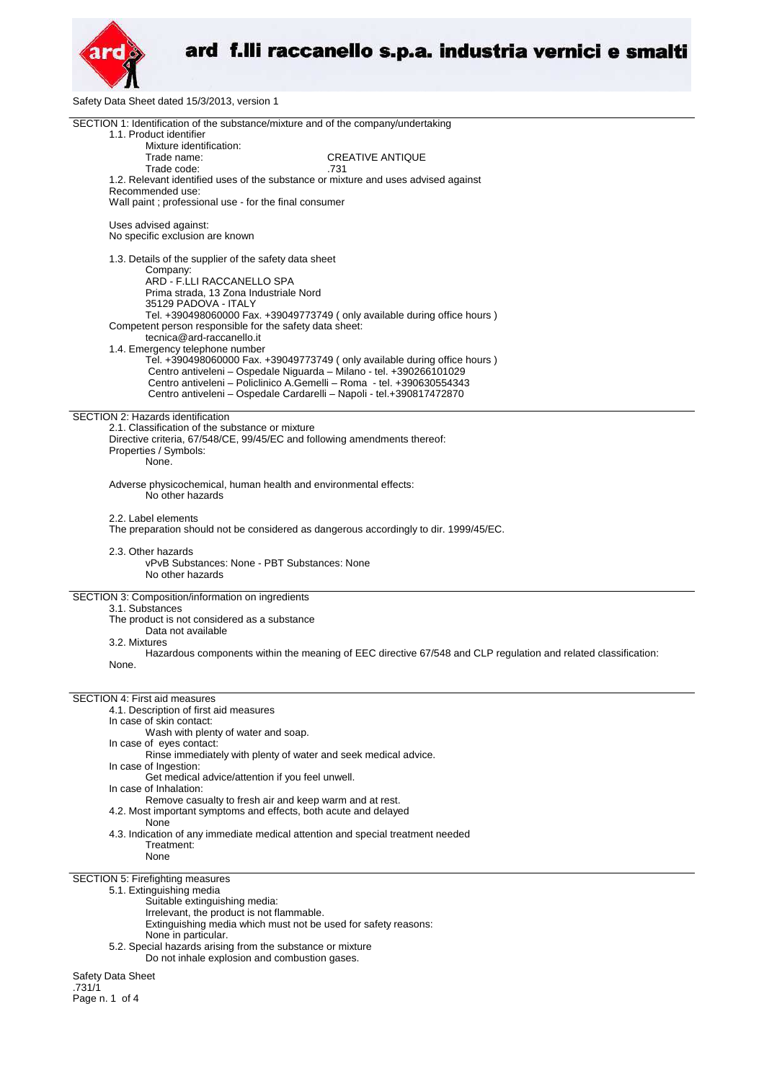

Safety Data Sheet dated 15/3/2013, version 1

| SECTION 1: Identification of the substance/mixture and of the company/undertaking<br>1.1. Product identifier   |  |  |
|----------------------------------------------------------------------------------------------------------------|--|--|
| Mixture identification:                                                                                        |  |  |
| Trade name:<br><b>CREATIVE ANTIQUE</b>                                                                         |  |  |
| Trade code:<br>.731                                                                                            |  |  |
| 1.2. Relevant identified uses of the substance or mixture and uses advised against                             |  |  |
| Recommended use:                                                                                               |  |  |
| Wall paint ; professional use - for the final consumer                                                         |  |  |
| Uses advised against:                                                                                          |  |  |
| No specific exclusion are known                                                                                |  |  |
| 1.3. Details of the supplier of the safety data sheet                                                          |  |  |
| Company:<br>ARD - F.LLI RACCANELLO SPA                                                                         |  |  |
| Prima strada, 13 Zona Industriale Nord                                                                         |  |  |
| 35129 PADOVA - ITALY                                                                                           |  |  |
| Tel. +390498060000 Fax. +39049773749 ( only available during office hours )                                    |  |  |
| Competent person responsible for the safety data sheet:                                                        |  |  |
| tecnica@ard-raccanello.it                                                                                      |  |  |
| 1.4. Emergency telephone number                                                                                |  |  |
| Tel. +390498060000 Fax. +39049773749 ( only available during office hours )                                    |  |  |
| Centro antiveleni - Ospedale Niguarda - Milano - tel. +390266101029                                            |  |  |
| Centro antiveleni - Policlinico A.Gemelli - Roma - tel. +390630554343                                          |  |  |
| Centro antiveleni - Ospedale Cardarelli - Napoli - tel.+390817472870                                           |  |  |
| SECTION 2: Hazards identification                                                                              |  |  |
| 2.1. Classification of the substance or mixture                                                                |  |  |
| Directive criteria, 67/548/CE, 99/45/EC and following amendments thereof:                                      |  |  |
| Properties / Symbols:                                                                                          |  |  |
| None.                                                                                                          |  |  |
|                                                                                                                |  |  |
| Adverse physicochemical, human health and environmental effects:                                               |  |  |
| No other hazards                                                                                               |  |  |
| 2.2. Label elements                                                                                            |  |  |
| The preparation should not be considered as dangerous accordingly to dir. 1999/45/EC.                          |  |  |
|                                                                                                                |  |  |
| 2.3. Other hazards                                                                                             |  |  |
| vPvB Substances: None - PBT Substances: None                                                                   |  |  |
| No other hazards                                                                                               |  |  |
|                                                                                                                |  |  |
| SECTION 3: Composition/information on ingredients                                                              |  |  |
| 3.1. Substances<br>The product is not considered as a substance                                                |  |  |
| Data not available                                                                                             |  |  |
| 3.2. Mixtures                                                                                                  |  |  |
| Hazardous components within the meaning of EEC directive 67/548 and CLP regulation and related classification: |  |  |
| None.                                                                                                          |  |  |
|                                                                                                                |  |  |
|                                                                                                                |  |  |
| <b>SECTION 4: First aid measures</b>                                                                           |  |  |
| 4.1. Description of first aid measures<br>In case of skin contact:                                             |  |  |
| Wash with plenty of water and soap.                                                                            |  |  |
| In case of eyes contact:                                                                                       |  |  |
| Rinse immediately with plenty of water and seek medical advice.                                                |  |  |
| In case of Ingestion:                                                                                          |  |  |
| Get medical advice/attention if you feel unwell.                                                               |  |  |
| In case of Inhalation:                                                                                         |  |  |
| Remove casualty to fresh air and keep warm and at rest.                                                        |  |  |
| 4.2. Most important symptoms and effects, both acute and delayed<br>None                                       |  |  |
| 4.3. Indication of any immediate medical attention and special treatment needed                                |  |  |
| Treatment:                                                                                                     |  |  |
| None                                                                                                           |  |  |
|                                                                                                                |  |  |
| SECTION 5: Firefighting measures                                                                               |  |  |
| 5.1. Extinguishing media                                                                                       |  |  |
| Suitable extinguishing media:                                                                                  |  |  |
| Irrelevant, the product is not flammable.                                                                      |  |  |
| Extinguishing media which must not be used for safety reasons:<br>None in particular.                          |  |  |
| 5.2. Special hazards arising from the substance or mixture                                                     |  |  |
| Do not inhale explosion and combustion gases.                                                                  |  |  |
| Safety Data Sheet                                                                                              |  |  |
| .731/1                                                                                                         |  |  |

Page n. 1 of 4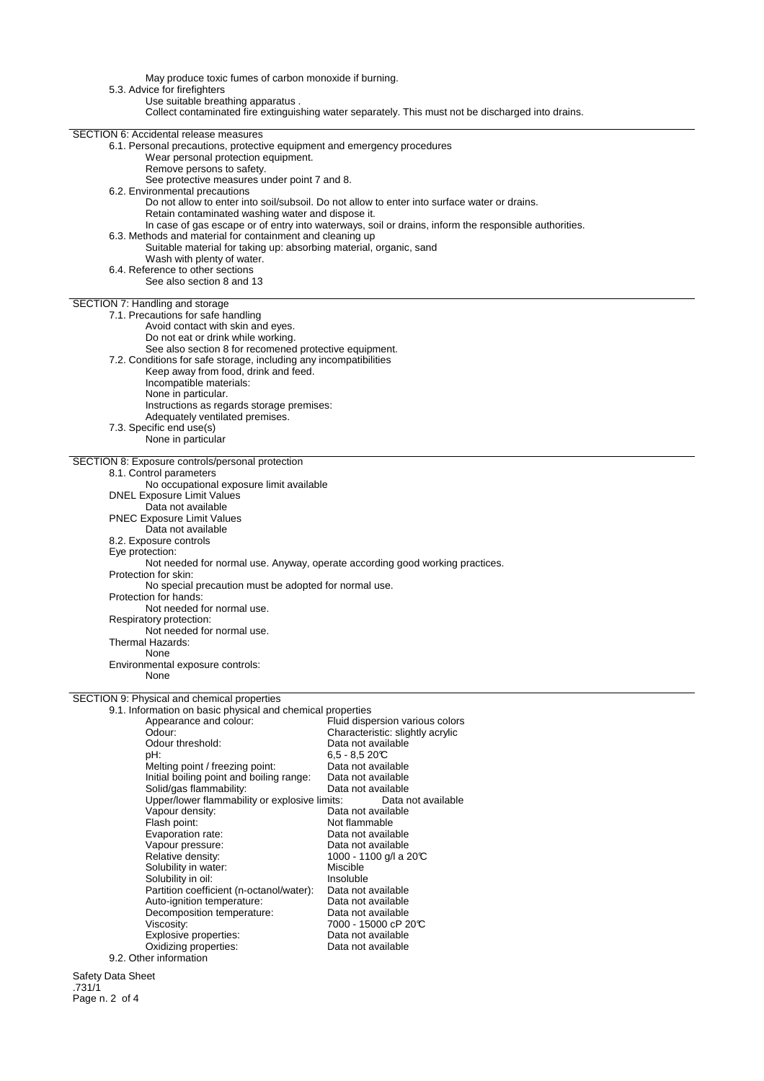May produce toxic fumes of carbon monoxide if burning. 5.3. Advice for firefighters Use suitable breathing apparatus . Collect contaminated fire extinguishing water separately. This must not be discharged into drains. SECTION 6: Accidental release measures 6.1. Personal precautions, protective equipment and emergency procedures Wear personal protection equipment. Remove persons to safety. See protective measures under point 7 and 8. 6.2. Environmental precautions Do not allow to enter into soil/subsoil. Do not allow to enter into surface water or drains. Retain contaminated washing water and dispose it. In case of gas escape or of entry into waterways, soil or drains, inform the responsible authorities. 6.3. Methods and material for containment and cleaning up Suitable material for taking up: absorbing material, organic, sand Wash with plenty of water. 6.4. Reference to other sections See also section 8 and 13 SECTION 7: Handling and storage 7.1. Precautions for safe handling Avoid contact with skin and eyes. Do not eat or drink while working. See also section 8 for recomened protective equipment. 7.2. Conditions for safe storage, including any incompatibilities Keep away from food, drink and feed. Incompatible materials: None in particular. Instructions as regards storage premises: Adequately ventilated premises. 7.3. Specific end use(s) None in particular SECTION 8: Exposure controls/personal protection 8.1. Control parameters No occupational exposure limit available DNEL Exposure Limit Values Data not available PNEC Exposure Limit Values Data not available 8.2. Exposure controls Eye protection: Not needed for normal use. Anyway, operate according good working practices. Protection for skin: No special precaution must be adopted for normal use. Protection for hands: Not needed for normal use. Respiratory protection: Not needed for normal use. Thermal Hazards: None Environmental exposure controls: None SECTION 9: Physical and chemical properties 9.1. Information on basic physical and chemical properties Fluid dispersion various colors reposition of the characteristic: slightly acrylic<br>Odour: Characteristic: slightly acrylic<br>Odour threshold: Data not available Odour threshold:<br>pH: 6,5 - 8,5 20°C<br>Data not available Melting point / freezing point: Data not available<br>
Initial boiling point and boiling range: Data not available Initial boiling point and boiling range: Data not available Solid/gas flammability:<br>
Upper/lower flammability or explosive limits: Data not available Upper/lower flammability or explosive limits:<br>Vapour density: Data Vapour density:<br>
Flash point:<br>
Flash point:<br>
Dot flammable Not flammable<br>Data not available Evaporation rate: Vapour pressure: Data not available Relative density:  $1000 - 1100$  g/l a 20°C Solubility in water:<br>
Solubility in oil:<br>
Miscluble Solubility in oil: Insoluble Insoluble<br>Partition coefficient (n-octanol/water): Data not available

7000 - 15000 cP 20°C<br>Data not available

Safety Data Sheet .731/1 Page n. 2 of 4

Partition coefficient (n-octanol/water): Data not available Auto-ignition temperature: Data not available

Explosive properties:<br>
Oxidizing properties:<br>
Oxidizing properties:<br>
Data not available

Decomposition temperature:<br>Viscosity:

Oxidizing properties:

9.2. Other information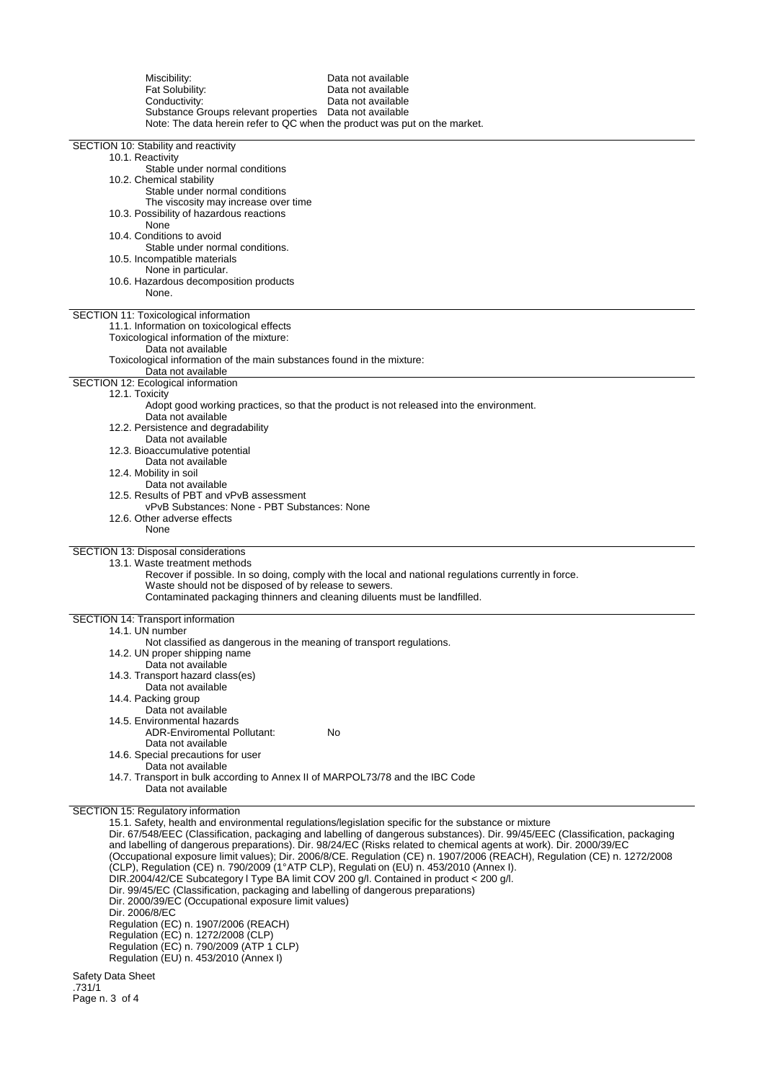| Miscibility:<br>Fat Solubility:<br>Conductivity:<br>Substance Groups relevant properties  Data not available<br>Note: The data herein refer to QC when the product was put on the market.                                                                                                                                                                                                                                                                                                                        | Data not available<br>Data not available<br>Data not available                                                                                                                                                                                                                                                                                                                                                                                                                          |
|------------------------------------------------------------------------------------------------------------------------------------------------------------------------------------------------------------------------------------------------------------------------------------------------------------------------------------------------------------------------------------------------------------------------------------------------------------------------------------------------------------------|-----------------------------------------------------------------------------------------------------------------------------------------------------------------------------------------------------------------------------------------------------------------------------------------------------------------------------------------------------------------------------------------------------------------------------------------------------------------------------------------|
| SECTION 10: Stability and reactivity<br>10.1. Reactivity<br>Stable under normal conditions<br>10.2. Chemical stability<br>Stable under normal conditions                                                                                                                                                                                                                                                                                                                                                         |                                                                                                                                                                                                                                                                                                                                                                                                                                                                                         |
| The viscosity may increase over time<br>10.3. Possibility of hazardous reactions<br>None<br>10.4. Conditions to avoid                                                                                                                                                                                                                                                                                                                                                                                            |                                                                                                                                                                                                                                                                                                                                                                                                                                                                                         |
| Stable under normal conditions.<br>10.5. Incompatible materials<br>None in particular.<br>10.6. Hazardous decomposition products<br>None.                                                                                                                                                                                                                                                                                                                                                                        |                                                                                                                                                                                                                                                                                                                                                                                                                                                                                         |
| SECTION 11: Toxicological information<br>11.1. Information on toxicological effects<br>Toxicological information of the mixture:<br>Data not available<br>Toxicological information of the main substances found in the mixture:                                                                                                                                                                                                                                                                                 |                                                                                                                                                                                                                                                                                                                                                                                                                                                                                         |
| Data not available<br>SECTION 12: Ecological information                                                                                                                                                                                                                                                                                                                                                                                                                                                         |                                                                                                                                                                                                                                                                                                                                                                                                                                                                                         |
| 12.1. Toxicity<br>Data not available<br>12.2. Persistence and degradability                                                                                                                                                                                                                                                                                                                                                                                                                                      | Adopt good working practices, so that the product is not released into the environment.                                                                                                                                                                                                                                                                                                                                                                                                 |
| Data not available<br>12.3. Bioaccumulative potential<br>Data not available                                                                                                                                                                                                                                                                                                                                                                                                                                      |                                                                                                                                                                                                                                                                                                                                                                                                                                                                                         |
| 12.4. Mobility in soil<br>Data not available<br>12.5. Results of PBT and vPvB assessment<br>vPvB Substances: None - PBT Substances: None                                                                                                                                                                                                                                                                                                                                                                         |                                                                                                                                                                                                                                                                                                                                                                                                                                                                                         |
| 12.6. Other adverse effects<br>None                                                                                                                                                                                                                                                                                                                                                                                                                                                                              |                                                                                                                                                                                                                                                                                                                                                                                                                                                                                         |
| SECTION 13: Disposal considerations<br>13.1. Waste treatment methods<br>Waste should not be disposed of by release to sewers.<br>Contaminated packaging thinners and cleaning diluents must be landfilled.                                                                                                                                                                                                                                                                                                       | Recover if possible. In so doing, comply with the local and national regulations currently in force.                                                                                                                                                                                                                                                                                                                                                                                    |
| SECTION 14: Transport information<br>14.1. UN number                                                                                                                                                                                                                                                                                                                                                                                                                                                             |                                                                                                                                                                                                                                                                                                                                                                                                                                                                                         |
| Not classified as dangerous in the meaning of transport regulations.<br>14.2. UN proper shipping name<br>Data not available<br>14.3. Transport hazard class(es)                                                                                                                                                                                                                                                                                                                                                  |                                                                                                                                                                                                                                                                                                                                                                                                                                                                                         |
| Data not available<br>14.4. Packing group<br>Data not available<br>14.5. Environmental hazards                                                                                                                                                                                                                                                                                                                                                                                                                   |                                                                                                                                                                                                                                                                                                                                                                                                                                                                                         |
| <b>ADR-Enviromental Pollutant:</b><br>Data not available<br>14.6. Special precautions for user                                                                                                                                                                                                                                                                                                                                                                                                                   | No                                                                                                                                                                                                                                                                                                                                                                                                                                                                                      |
| Data not available<br>14.7. Transport in bulk according to Annex II of MARPOL73/78 and the IBC Code<br>Data not available                                                                                                                                                                                                                                                                                                                                                                                        |                                                                                                                                                                                                                                                                                                                                                                                                                                                                                         |
| SECTION 15: Regulatory information<br>(CLP), Regulation (CE) n. 790/2009 (1°ATP CLP), Regulati on (EU) n. 453/2010 (Annex I).<br>DIR.2004/42/CE Subcategory I Type BA limit COV 200 g/l. Contained in product < 200 g/l.<br>Dir. 99/45/EC (Classification, packaging and labelling of dangerous preparations)<br>Dir. 2000/39/EC (Occupational exposure limit values)<br>Dir. 2006/8/EC<br>Regulation (EC) n. 1907/2006 (REACH)<br>Regulation (EC) n. 1272/2008 (CLP)<br>Regulation (EC) n. 790/2009 (ATP 1 CLP) | 15.1. Safety, health and environmental regulations/legislation specific for the substance or mixture<br>Dir. 67/548/EEC (Classification, packaging and labelling of dangerous substances). Dir. 99/45/EEC (Classification, packaging<br>and labelling of dangerous preparations). Dir. 98/24/EC (Risks related to chemical agents at work). Dir. 2000/39/EC<br>(Occupational exposure limit values); Dir. 2006/8/CE. Regulation (CE) n. 1907/2006 (REACH), Regulation (CE) n. 1272/2008 |
| Regulation (EU) n. 453/2010 (Annex I)                                                                                                                                                                                                                                                                                                                                                                                                                                                                            |                                                                                                                                                                                                                                                                                                                                                                                                                                                                                         |

Safety Data Sheet .731/1 Page n. 3 of 4